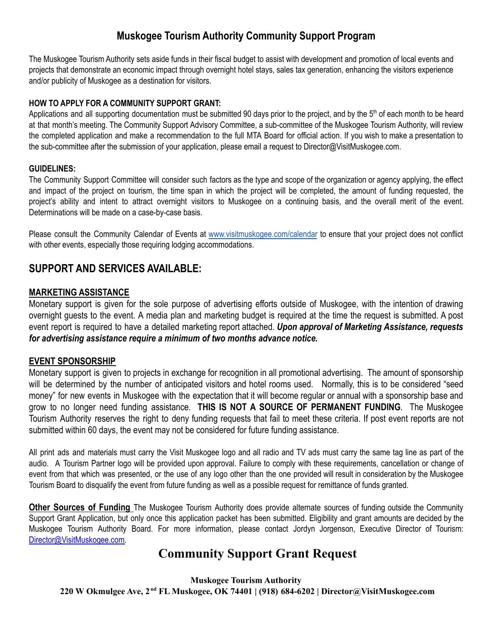## **Muskogee Tourism Authority Community Support Program**

The Muskogee Tourism Authority sets aside funds in their fiscal budget to assist with development and promotion of local events and projects that demonstrate an economic impact through overnight hotel stays, sales tax generation, enhancing the visitors experience and/or publicity of Muskogee as a destination for visitors.

#### **HOW TO APPLY FOR A COMMUNITY SUPPORT GRANT:**

Applications and all supporting documentation must be submitted 90 days prior to the project, and by the 5<sup>th</sup> of each month to be heard at that month's meeting. The Community Support Advisory Committee, a sub-committee of the Muskogee Tourism Authority, will review the completed application and make a recommendation to the full MTA Board for official action. If you wish to make a presentation to the sub-committee after the submission of your application, please email a request to Director@VisitMuskogee.com.

#### **GUIDELINES:**

The Community Support Committee will consider such factors as the type and scope of the organization or agency applying, the effect and impact of the project on tourism, the time span in which the project will be completed, the amount of funding requested, the project's ability and intent to attract overnight visitors to Muskogee on a continuing basis, and the overall merit of the event. Determinations will be made on a case-by-case basis.

Please consult the Community Calendar of Events at [www.visitmuskogee.com/calendar](http://www.visitmuskogee.com/calendar) to ensure that your project does not conflict with other events, especially those requiring lodging accommodations.

## **SUPPORT AND SERVICES AVAILABLE:**

### **MARKETING ASSISTANCE**

Monetary support is given for the sole purpose of advertising efforts outside of Muskogee, with the intention of drawing overnight guests to the event. A media plan and marketing budget is required at the time the request is submitted. A post event report is required to have a detailed marketing report attached. *Upon approval of Marketing Assistance, requests for advertising assistance require a minimum of two months advance notice.*

#### **EVENT SPONSORSHIP**

Monetary support is given to projects in exchange for recognition in all promotional advertising. The amount of sponsorship will be determined by the number of anticipated visitors and hotel rooms used. Normally, this is to be considered "seed money" for new events in Muskogee with the expectation that it will become regular or annual with a sponsorship base and grow to no longer need funding assistance. **THIS IS NOT A SOURCE OF PERMANENT FUNDING**. The Muskogee Tourism Authority reserves the right to deny funding requests that fail to meet these criteria. If post event reports are not submitted within 60 days, the event may not be considered for future funding assistance.

All print ads and materials must carry the Visit Muskogee logo and all radio and TV ads must carry the same tag line as part of the audio. A Tourism Partner logo will be provided upon approval. Failure to comply with these requirements, cancellation or change of event from that which was presented, or the use of any logo other than the one provided will result in consideration by the Muskogee Tourism Board to disqualify the event from future funding as well as a possible request for remittance of funds granted.

**Other Sources of Funding** The Muskogee Tourism Authority does provide alternate sources of funding outside the Community Support Grant Application, but only once this application packet has been submitted. Eligibility and grant amounts are decided by the Muskogee Tourism Authority Board. For more information, please contact Jordyn Jorgenson, Executive Director of Tourism: [Director@VisitMuskogee.com.](mailto:Director@VisitMuskogee.com)

# **Community Support Grant Request**

**Muskogee Tourism Authority 220 W Okmulgee Ave, 2 nd FL Muskogee, OK 74401 | (918) 684-6202 | Director@VisitMuskogee.com**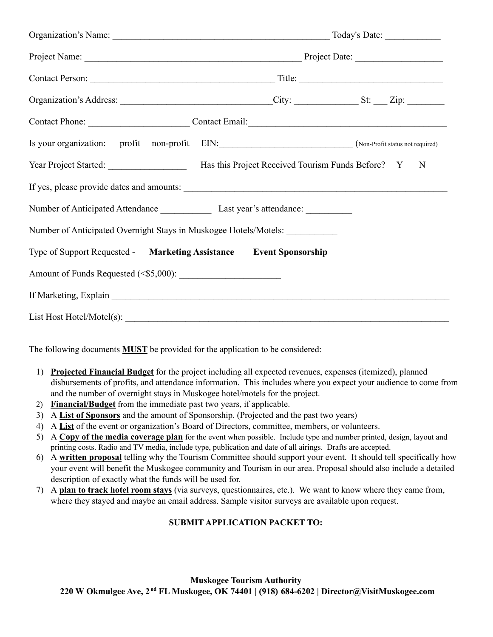| Organization's Address: ________________________________City: _________________St: ___Zip: _________ |  |  |  |  |  |  |
|------------------------------------------------------------------------------------------------------|--|--|--|--|--|--|
| Contact Phone: Contact Email: Contact Email:                                                         |  |  |  |  |  |  |
| Is your organization: profit non-profit EIN: (Non-Profit status not required)                        |  |  |  |  |  |  |
| Year Project Started: Mas this Project Received Tourism Funds Before? Y N                            |  |  |  |  |  |  |
|                                                                                                      |  |  |  |  |  |  |
| Number of Anticipated Attendance Last year's attendance: Last year's attendance:                     |  |  |  |  |  |  |
| Number of Anticipated Overnight Stays in Muskogee Hotels/Motels: ______________                      |  |  |  |  |  |  |
| Type of Support Requested - Marketing Assistance Event Sponsorship                                   |  |  |  |  |  |  |
|                                                                                                      |  |  |  |  |  |  |
|                                                                                                      |  |  |  |  |  |  |
|                                                                                                      |  |  |  |  |  |  |

The following documents **MUST** be provided for the application to be considered:

- 1) **Projected Financial Budget** for the project including all expected revenues, expenses (itemized), planned disbursements of profits, and attendance information. This includes where you expect your audience to come from and the number of overnight stays in Muskogee hotel/motels for the project.
- 2) **Financial/Budget** from the immediate past two years, if applicable.
- 3) A **List of Sponsors** and the amount of Sponsorship. (Projected and the past two years)
- 4) A **List** of the event or organization's Board of Directors, committee, members, or volunteers.
- 5) A **Copy of the media coverage plan** for the event when possible. Include type and number printed, design, layout and printing costs. Radio and TV media, include type, publication and date of all airings. Drafts are accepted.
- 6) A **written proposal** telling why the Tourism Committee should support your event. It should tell specifically how your event will benefit the Muskogee community and Tourism in our area. Proposal should also include a detailed description of exactly what the funds will be used for.
- 7) A **plan to track hotel room stays** (via surveys, questionnaires, etc.). We want to know where they came from, where they stayed and maybe an email address. Sample visitor surveys are available upon request.

#### **SUBMIT APPLICATION PACKET TO:**